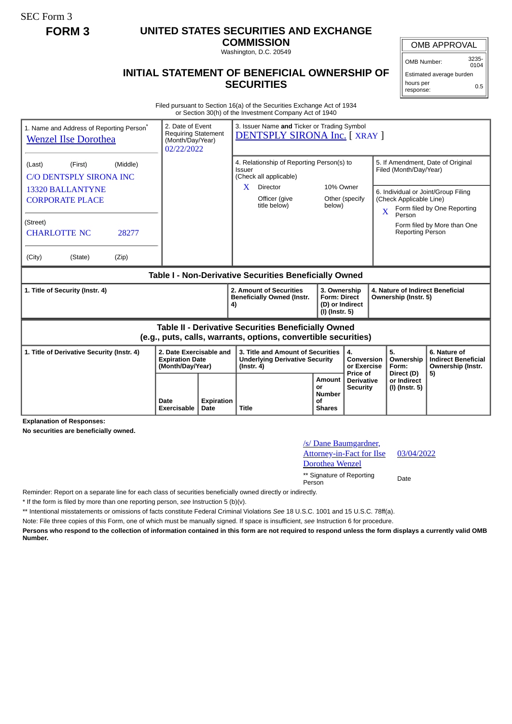SEC Form 3

## **FORM 3 UNITED STATES SECURITIES AND EXCHANGE**

**COMMISSION** Washington, D.C. 20549

## **INITIAL STATEMENT OF BENEFICIAL OWNERSHIP OF SECURITIES**

OMB APPROVAL

OMB Number: 3235-  $0104$ 

Estimated average burden hours per response: 0.5

Filed pursuant to Section 16(a) of the Securities Exchange Act of 1934 or Section 30(h) of the Investment Company Act of 1940

| 1. Name and Address of Reporting Person <sup>®</sup><br><b>Wenzel Ilse Dorothea</b> | 2. Date of Event<br><b>Requiring Statement</b><br>(Month/Day/Year)<br>02/22/2022 |    | 3. Issuer Name and Ticker or Trading Symbol<br>DENTSPLY SIRONA Inc. [ XRAY ]                                                 |                                                                          |                                                           |                         |                                                                                                         |                                                                       |  |
|-------------------------------------------------------------------------------------|----------------------------------------------------------------------------------|----|------------------------------------------------------------------------------------------------------------------------------|--------------------------------------------------------------------------|-----------------------------------------------------------|-------------------------|---------------------------------------------------------------------------------------------------------|-----------------------------------------------------------------------|--|
| (Middle)<br>(First)<br>(Last)<br><b>C/O DENTSPLY SIRONA INC</b>                     |                                                                                  |    | 4. Relationship of Reporting Person(s) to<br>Issuer<br>(Check all applicable)                                                |                                                                          |                                                           |                         | 5. If Amendment, Date of Original<br>Filed (Month/Day/Year)                                             |                                                                       |  |
| <b>13320 BALLANTYNE</b><br><b>CORPORATE PLACE</b>                                   |                                                                                  |    | $\mathbf{X}$<br>Director<br>Officer (give<br>title below)                                                                    | 10% Owner<br>below)                                                      | Other (specify                                            | $\overline{\mathbf{X}}$ | 6. Individual or Joint/Group Filing<br>(Check Applicable Line)<br>Form filed by One Reporting<br>Person |                                                                       |  |
| (Street)<br><b>CHARLOTTE NC</b><br>28277                                            |                                                                                  |    |                                                                                                                              |                                                                          |                                                           |                         | <b>Reporting Person</b>                                                                                 | Form filed by More than One                                           |  |
| (City)<br>(State)<br>(Zip)                                                          |                                                                                  |    |                                                                                                                              |                                                                          |                                                           |                         |                                                                                                         |                                                                       |  |
| Table I - Non-Derivative Securities Beneficially Owned                              |                                                                                  |    |                                                                                                                              |                                                                          |                                                           |                         |                                                                                                         |                                                                       |  |
|                                                                                     |                                                                                  |    |                                                                                                                              |                                                                          |                                                           |                         |                                                                                                         |                                                                       |  |
| 1. Title of Security (Instr. 4)                                                     |                                                                                  | 4) | 2. Amount of Securities<br><b>Beneficially Owned (Instr.</b>                                                                 | 3. Ownership<br><b>Form: Direct</b><br>(D) or Indirect<br>(I) (Instr. 5) |                                                           |                         | 4. Nature of Indirect Beneficial<br>Ownership (Instr. 5)                                                |                                                                       |  |
|                                                                                     |                                                                                  |    | <b>Table II - Derivative Securities Beneficially Owned</b><br>(e.g., puts, calls, warrants, options, convertible securities) |                                                                          |                                                           |                         |                                                                                                         |                                                                       |  |
| 1. Title of Derivative Security (Instr. 4)                                          | 2. Date Exercisable and<br><b>Expiration Date</b><br>(Month/Day/Year)            |    | 3. Title and Amount of Securities<br><b>Underlying Derivative Security</b><br>$($ lnstr. 4 $)$                               |                                                                          | $\overline{4}$ .<br>Conversion<br>or Exercise<br>Price of |                         | 5.<br>Ownership<br>Form:<br>Direct (D)                                                                  | 6. Nature of<br><b>Indirect Beneficial</b><br>Ownership (Instr.<br>5) |  |

**Explanation of Responses:**

**No securities are beneficially owned.**

/s/ Dane Baumgardner, Attorney-in-Fact for Ilse Dorothea Wenzel 03/04/2022 \*\* Signature of Reporting Person Date

Reminder: Report on a separate line for each class of securities beneficially owned directly or indirectly.

\* If the form is filed by more than one reporting person, *see* Instruction 5 (b)(v).

\*\* Intentional misstatements or omissions of facts constitute Federal Criminal Violations *See* 18 U.S.C. 1001 and 15 U.S.C. 78ff(a).

Note: File three copies of this Form, one of which must be manually signed. If space is insufficient, *see* Instruction 6 for procedure.

**Persons who respond to the collection of information contained in this form are not required to respond unless the form displays a currently valid OMB Number.**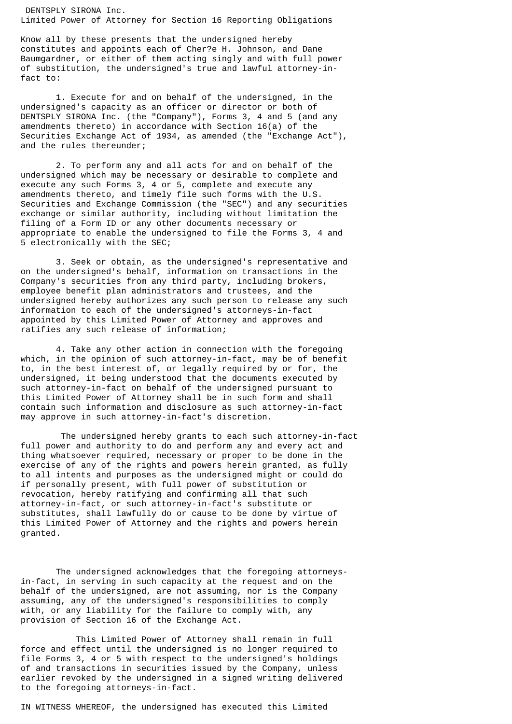DENTSPLY SIRONA Inc. Limited Power of Attorney for Section 16 Reporting Obligations

Know all by these presents that the undersigned hereby constitutes and appoints each of Cher?e H. Johnson, and Dane Baumgardner, or either of them acting singly and with full power of substitution, the undersigned's true and lawful attorney-infact to:

 1. Execute for and on behalf of the undersigned, in the undersigned's capacity as an officer or director or both of DENTSPLY SIRONA Inc. (the "Company"), Forms 3, 4 and 5 (and any amendments thereto) in accordance with Section 16(a) of the Securities Exchange Act of 1934, as amended (the "Exchange Act"), and the rules thereunder;

 2. To perform any and all acts for and on behalf of the undersigned which may be necessary or desirable to complete and execute any such Forms 3, 4 or 5, complete and execute any amendments thereto, and timely file such forms with the U.S. Securities and Exchange Commission (the "SEC") and any securities exchange or similar authority, including without limitation the filing of a Form ID or any other documents necessary or appropriate to enable the undersigned to file the Forms 3, 4 and 5 electronically with the SEC;

 3. Seek or obtain, as the undersigned's representative and on the undersigned's behalf, information on transactions in the Company's securities from any third party, including brokers, employee benefit plan administrators and trustees, and the undersigned hereby authorizes any such person to release any such information to each of the undersigned's attorneys-in-fact appointed by this Limited Power of Attorney and approves and ratifies any such release of information;

 4. Take any other action in connection with the foregoing which, in the opinion of such attorney-in-fact, may be of benefit to, in the best interest of, or legally required by or for, the undersigned, it being understood that the documents executed by such attorney-in-fact on behalf of the undersigned pursuant to this Limited Power of Attorney shall be in such form and shall contain such information and disclosure as such attorney-in-fact may approve in such attorney-in-fact's discretion.

The undersigned hereby grants to each such attorney-in-fact full power and authority to do and perform any and every act and thing whatsoever required, necessary or proper to be done in the exercise of any of the rights and powers herein granted, as fully to all intents and purposes as the undersigned might or could do if personally present, with full power of substitution or revocation, hereby ratifying and confirming all that such attorney-in-fact, or such attorney-in-fact's substitute or substitutes, shall lawfully do or cause to be done by virtue of this Limited Power of Attorney and the rights and powers herein granted.

 The undersigned acknowledges that the foregoing attorneysin-fact, in serving in such capacity at the request and on the behalf of the undersigned, are not assuming, nor is the Company assuming, any of the undersigned's responsibilities to comply with, or any liability for the failure to comply with, any provision of Section 16 of the Exchange Act.

 This Limited Power of Attorney shall remain in full force and effect until the undersigned is no longer required to file Forms 3, 4 or 5 with respect to the undersigned's holdings of and transactions in securities issued by the Company, unless earlier revoked by the undersigned in a signed writing delivered to the foregoing attorneys-in-fact.

IN WITNESS WHEREOF, the undersigned has executed this Limited